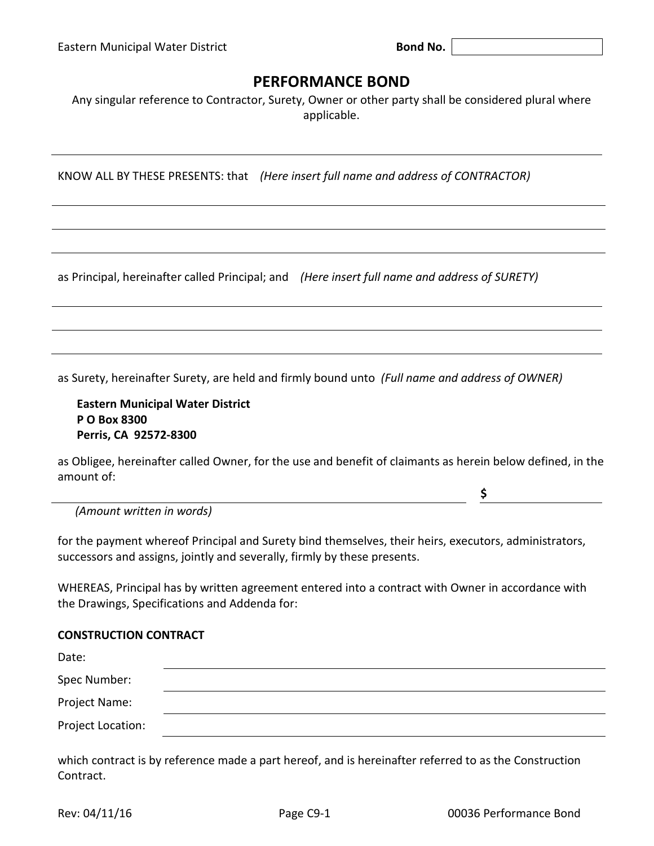## **PERFORMANCE BOND**

Any singular reference to Contractor, Surety, Owner or other party shall be considered plural where applicable.

KNOW ALL BY THESE PRESENTS: that *(Here insert full name and address of CONTRACTOR)*

as Principal, hereinafter called Principal; and *(Here insert full name and address of SURETY)*

as Surety, hereinafter Surety, are held and firmly bound unto *(Full name and address of OWNER)*

**Eastern Municipal Water District P O Box 8300 Perris, CA 92572-8300**

as Obligee, hereinafter called Owner, for the use and benefit of claimants as herein below defined, in the amount of:

*(Amount written in words)*

for the payment whereof Principal and Surety bind themselves, their heirs, executors, administrators, successors and assigns, jointly and severally, firmly by these presents.

WHEREAS, Principal has by written agreement entered into a contract with Owner in accordance with the Drawings, Specifications and Addenda for:

## **CONSTRUCTION CONTRACT**

| Date:             |  |  |
|-------------------|--|--|
| Spec Number:      |  |  |
| Project Name:     |  |  |
| Project Location: |  |  |

which contract is by reference made a part hereof, and is hereinafter referred to as the Construction Contract.

**\$**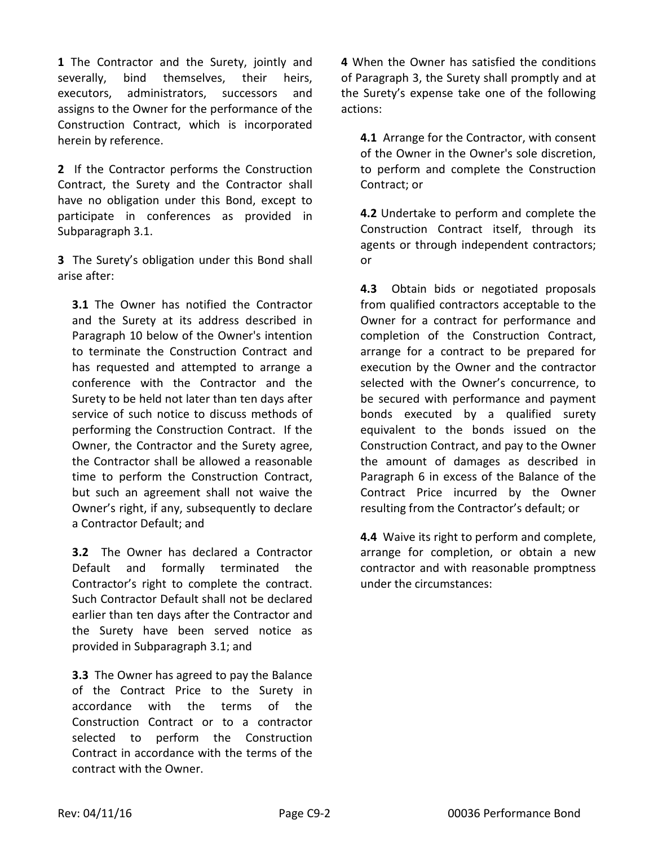**1** The Contractor and the Surety, jointly and severally, bind themselves, their heirs, executors, administrators, successors and assigns to the Owner for the performance of the Construction Contract, which is incorporated herein by reference.

**2** If the Contractor performs the Construction Contract, the Surety and the Contractor shall have no obligation under this Bond, except to participate in conferences as provided in Subparagraph 3.1.

**3** The Surety's obligation under this Bond shall arise after:

**3.1** The Owner has notified the Contractor and the Surety at its address described in Paragraph 10 below of the Owner's intention to terminate the Construction Contract and has requested and attempted to arrange a conference with the Contractor and the Surety to be held not later than ten days after service of such notice to discuss methods of performing the Construction Contract. If the Owner, the Contractor and the Surety agree, the Contractor shall be allowed a reasonable time to perform the Construction Contract, but such an agreement shall not waive the Owner's right, if any, subsequently to declare a Contractor Default; and

**3.2** The Owner has declared a Contractor Default and formally terminated the Contractor's right to complete the contract. Such Contractor Default shall not be declared earlier than ten days after the Contractor and the Surety have been served notice as provided in Subparagraph 3.1; and

**3.3** The Owner has agreed to pay the Balance of the Contract Price to the Surety in accordance with the terms of the Construction Contract or to a contractor selected to perform the Construction Contract in accordance with the terms of the contract with the Owner.

**4** When the Owner has satisfied the conditions of Paragraph 3, the Surety shall promptly and at the Surety's expense take one of the following actions:

**4.1** Arrange for the Contractor, with consent of the Owner in the Owner's sole discretion, to perform and complete the Construction Contract; or

**4.2** Undertake to perform and complete the Construction Contract itself, through its agents or through independent contractors; or

**4.3** Obtain bids or negotiated proposals from qualified contractors acceptable to the Owner for a contract for performance and completion of the Construction Contract, arrange for a contract to be prepared for execution by the Owner and the contractor selected with the Owner's concurrence, to be secured with performance and payment bonds executed by a qualified surety equivalent to the bonds issued on the Construction Contract, and pay to the Owner the amount of damages as described in Paragraph 6 in excess of the Balance of the Contract Price incurred by the Owner resulting from the Contractor's default; or

**4.4** Waive its right to perform and complete, arrange for completion, or obtain a new contractor and with reasonable promptness under the circumstances: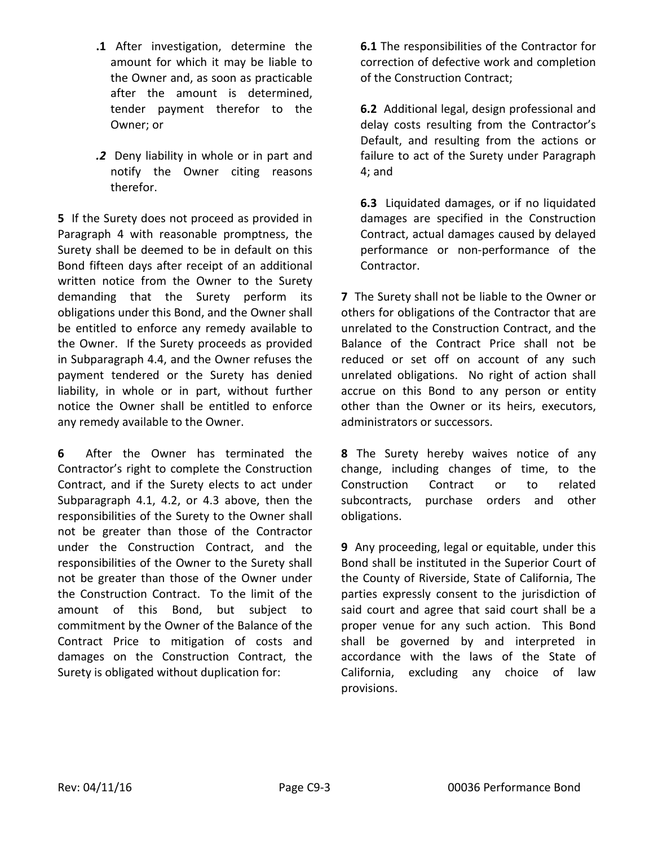- **.1** After investigation, determine the amount for which it may be liable to the Owner and, as soon as practicable after the amount is determined, tender payment therefor to the Owner; or
- *.2*Deny liability in whole or in part and notify the Owner citing reasons therefor.

**5** If the Surety does not proceed as provided in Paragraph 4 with reasonable promptness, the Surety shall be deemed to be in default on this Bond fifteen days after receipt of an additional written notice from the Owner to the Surety demanding that the Surety perform its obligations under this Bond, and the Owner shall be entitled to enforce any remedy available to the Owner. If the Surety proceeds as provided in Subparagraph 4.4, and the Owner refuses the payment tendered or the Surety has denied liability, in whole or in part, without further notice the Owner shall be entitled to enforce any remedy available to the Owner.

**6** After the Owner has terminated the Contractor's right to complete the Construction Contract, and if the Surety elects to act under Subparagraph 4.1, 4.2, or 4.3 above, then the responsibilities of the Surety to the Owner shall not be greater than those of the Contractor under the Construction Contract, and the responsibilities of the Owner to the Surety shall not be greater than those of the Owner under the Construction Contract. To the limit of the amount of this Bond, but subject to commitment by the Owner of the Balance of the Contract Price to mitigation of costs and damages on the Construction Contract, the Surety is obligated without duplication for:

**6.1** The responsibilities of the Contractor for correction of defective work and completion of the Construction Contract;

**6.2** Additional legal, design professional and delay costs resulting from the Contractor's Default, and resulting from the actions or failure to act of the Surety under Paragraph 4; and

**6.3** Liquidated damages, or if no liquidated damages are specified in the Construction Contract, actual damages caused by delayed performance or non-performance of the Contractor.

**7** The Surety shall not be liable to the Owner or others for obligations of the Contractor that are unrelated to the Construction Contract, and the Balance of the Contract Price shall not be reduced or set off on account of any such unrelated obligations. No right of action shall accrue on this Bond to any person or entity other than the Owner or its heirs, executors, administrators or successors.

**8** The Surety hereby waives notice of any change, including changes of time, to the Construction Contract or to related subcontracts, purchase orders and other obligations.

**9** Any proceeding, legal or equitable, under this Bond shall be instituted in the Superior Court of the County of Riverside, State of California, The parties expressly consent to the jurisdiction of said court and agree that said court shall be a proper venue for any such action. This Bond shall be governed by and interpreted in accordance with the laws of the State of California, excluding any choice of law provisions.